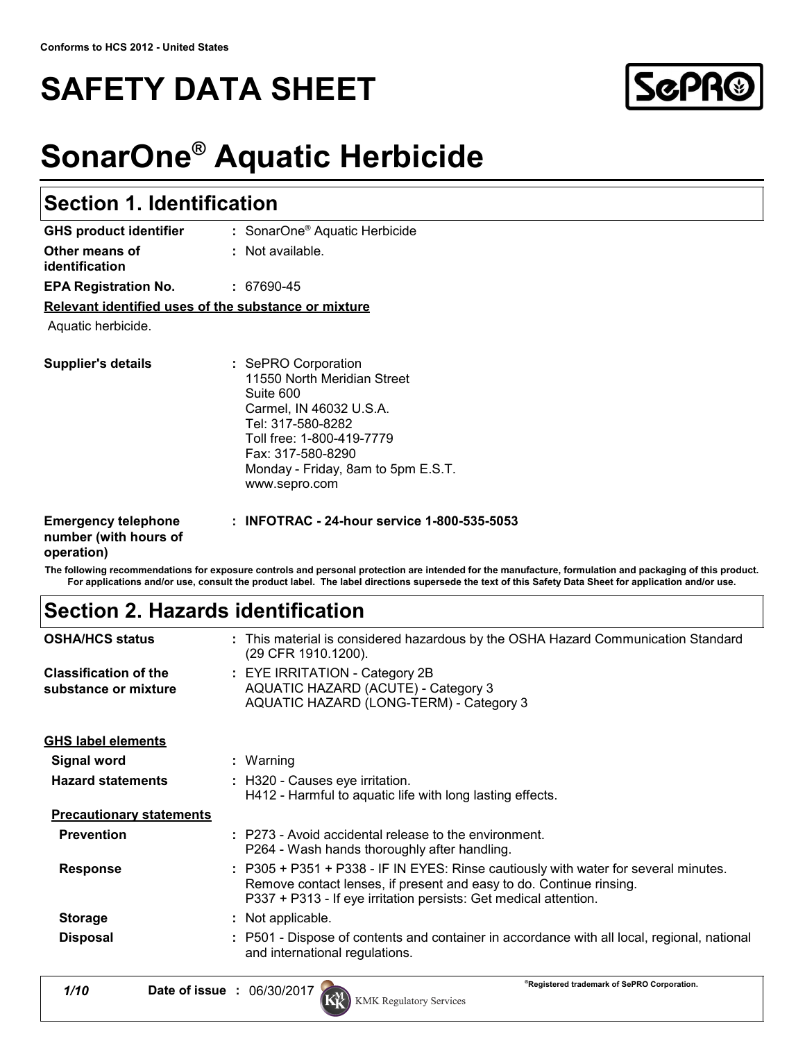## **SAFETY DATA SHEET**



## **SonarOne® Aquatic Herbicide**

| <b>Section 1. Identification</b>                     |                                                                                                                                                                                                                          |  |
|------------------------------------------------------|--------------------------------------------------------------------------------------------------------------------------------------------------------------------------------------------------------------------------|--|
| <b>GHS product identifier</b>                        | : SonarOne <sup>®</sup> Aquatic Herbicide                                                                                                                                                                                |  |
| Other means of<br>identification                     | $:$ Not available.                                                                                                                                                                                                       |  |
| <b>EPA Registration No.</b>                          | : 67690-45                                                                                                                                                                                                               |  |
| Relevant identified uses of the substance or mixture |                                                                                                                                                                                                                          |  |
| Aquatic herbicide.                                   |                                                                                                                                                                                                                          |  |
| Supplier's details                                   | : SePRO Corporation<br>11550 North Meridian Street<br>Suite 600<br>Carmel, IN 46032 U.S.A.<br>Tel: 317-580-8282<br>Toll free: 1-800-419-7779<br>Fax: 317-580-8290<br>Monday - Friday, 8am to 5pm E.S.T.<br>www.sepro.com |  |
| <b>Emergency telephone</b><br>number (with hours of  | : INFOTRAC - 24-hour service 1-800-535-5053                                                                                                                                                                              |  |

## **operation)**

**The following recommendations for exposure controls and personal protection are intended for the manufacture, formulation and packaging of this product. For applications and/or use, consult the product label. The label directions supersede the text of this Safety Data Sheet for application and/or use.**

## **Section 2. Hazards identification**

| <b>OSHA/HCS status</b>                               | : This material is considered hazardous by the OSHA Hazard Communication Standard<br>(29 CFR 1910.1200).                                                                                                                       |
|------------------------------------------------------|--------------------------------------------------------------------------------------------------------------------------------------------------------------------------------------------------------------------------------|
| <b>Classification of the</b><br>substance or mixture | $\therefore$ EYE IRRITATION - Category 2B<br>AQUATIC HAZARD (ACUTE) - Category 3<br>AQUATIC HAZARD (LONG-TERM) - Category 3                                                                                                    |
| <b>GHS label elements</b>                            |                                                                                                                                                                                                                                |
| Signal word                                          | : Warning                                                                                                                                                                                                                      |
| <b>Hazard statements</b>                             | : H320 - Causes eye irritation.<br>H412 - Harmful to aquatic life with long lasting effects.                                                                                                                                   |
| <b>Precautionary statements</b>                      |                                                                                                                                                                                                                                |
| <b>Prevention</b>                                    | : P273 - Avoid accidental release to the environment.<br>P264 - Wash hands thoroughly after handling.                                                                                                                          |
| <b>Response</b>                                      | : P305 + P351 + P338 - IF IN EYES: Rinse cautiously with water for several minutes.<br>Remove contact lenses, if present and easy to do. Continue rinsing.<br>P337 + P313 - If eye irritation persists: Get medical attention. |
| <b>Storage</b>                                       | : Not applicable.                                                                                                                                                                                                              |
| <b>Disposal</b>                                      | : P501 - Dispose of contents and container in accordance with all local, regional, national<br>and international regulations.                                                                                                  |